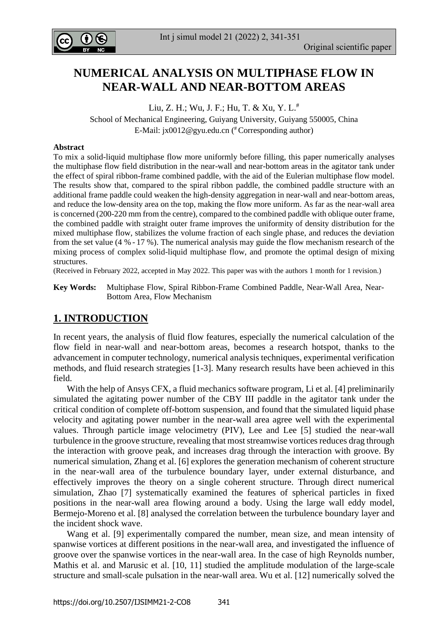

Int j simul model 21 (2022) 2, 341-351

# **NUMERICAL ANALYSIS ON MULTIPHASE FLOW IN NEAR-WALL AND NEAR-BOTTOM AREAS**

Liu, Z. H.; Wu, J. F.; Hu, T. & Xu, Y. L.<sup>#</sup>

School of Mechanical Engineering, Guiyang University, Guiyang 550005, China E-Mail: [jx0012@gyu.edu.cn](mailto:jx0012@gyu.edu.cn) ( # Corresponding author)

#### **Abstract**

To mix a solid-liquid multiphase flow more uniformly before filling, this paper numerically analyses the multiphase flow field distribution in the near-wall and near-bottom areas in the agitator tank under the effect of spiral ribbon-frame combined paddle, with the aid of the Eulerian multiphase flow model. The results show that, compared to the spiral ribbon paddle, the combined paddle structure with an additional frame paddle could weaken the high-density aggregation in near-wall and near-bottom areas, and reduce the low-density area on the top, making the flow more uniform. As far as the near-wall area is concerned (200-220 mm from the centre), compared to the combined paddle with oblique outer frame, the combined paddle with straight outer frame improves the uniformity of density distribution for the mixed multiphase flow, stabilizes the volume fraction of each single phase, and reduces the deviation from the set value (4 % - 17 %). The numerical analysis may guide the flow mechanism research of the mixing process of complex solid-liquid multiphase flow, and promote the optimal design of mixing structures.

(Received in February 2022, accepted in May 2022. This paper was with the authors 1 month for 1 revision.)

**Key Words:** Multiphase Flow, Spiral Ribbon-Frame Combined Paddle, Near-Wall Area, Near-Bottom Area, Flow Mechanism

## **1. INTRODUCTION**

In recent years, the analysis of fluid flow features, especially the numerical calculation of the flow field in near-wall and near-bottom areas, becomes a research hotspot, thanks to the advancement in computer technology, numerical analysis techniques, experimental verification methods, and fluid research strategies [1-3]. Many research results have been achieved in this field.

 With the help of Ansys CFX, a fluid mechanics software program, Li et al. [4] preliminarily simulated the agitating power number of the CBY III paddle in the agitator tank under the critical condition of complete off-bottom suspension, and found that the simulated liquid phase velocity and agitating power number in the near-wall area agree well with the experimental values. Through particle image velocimetry (PIV), Lee and Lee [5] studied the near-wall turbulence in the groove structure, revealing that most streamwise vortices reduces drag through the interaction with groove peak, and increases drag through the interaction with groove. By numerical simulation, Zhang et al. [6] explores the generation mechanism of coherent structure in the near-wall area of the turbulence boundary layer, under external disturbance, and effectively improves the theory on a single coherent structure. Through direct numerical simulation, Zhao [7] systematically examined the features of spherical particles in fixed positions in the near-wall area flowing around a body. Using the large wall eddy model, Bermejo-Moreno et al. [8] analysed the correlation between the turbulence boundary layer and the incident shock wave.

 Wang et al. [9] experimentally compared the number, mean size, and mean intensity of spanwise vortices at different positions in the near-wall area, and investigated the influence of groove over the spanwise vortices in the near-wall area. In the case of high Reynolds number, Mathis et al. and Marusic et al. [10, 11] studied the amplitude modulation of the large-scale structure and small-scale pulsation in the near-wall area. Wu et al. [12] numerically solved the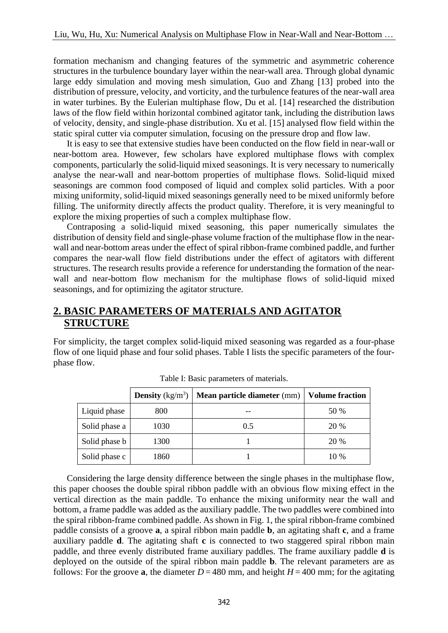formation mechanism and changing features of the symmetric and asymmetric coherence structures in the turbulence boundary layer within the near-wall area. Through global dynamic large eddy simulation and moving mesh simulation, Guo and Zhang [13] probed into the distribution of pressure, velocity, and vorticity, and the turbulence features of the near-wall area in water turbines. By the Eulerian multiphase flow, Du et al. [14] researched the distribution laws of the flow field within horizontal combined agitator tank, including the distribution laws of velocity, density, and single-phase distribution. Xu et al. [15] analysed flow field within the static spiral cutter via computer simulation, focusing on the pressure drop and flow law.

 It is easy to see that extensive studies have been conducted on the flow field in near-wall or near-bottom area. However, few scholars have explored multiphase flows with complex components, particularly the solid-liquid mixed seasonings. It is very necessary to numerically analyse the near-wall and near-bottom properties of multiphase flows. Solid-liquid mixed seasonings are common food composed of liquid and complex solid particles. With a poor mixing uniformity, solid-liquid mixed seasonings generally need to be mixed uniformly before filling. The uniformity directly affects the product quality. Therefore, it is very meaningful to explore the mixing properties of such a complex multiphase flow.

 Contraposing a solid-liquid mixed seasoning, this paper numerically simulates the distribution of density field and single-phase volume fraction of the multiphase flow in the nearwall and near-bottom areas under the effect of spiral ribbon-frame combined paddle, and further compares the near-wall flow field distributions under the effect of agitators with different structures. The research results provide a reference for understanding the formation of the nearwall and near-bottom flow mechanism for the multiphase flows of solid-liquid mixed seasonings, and for optimizing the agitator structure.

## **2. BASIC PARAMETERS OF MATERIALS AND AGITATOR STRUCTURE**

For simplicity, the target complex solid-liquid mixed seasoning was regarded as a four-phase flow of one liquid phase and four solid phases. Table I lists the specific parameters of the fourphase flow.

|               | <b>Density</b> $(kg/m^3)$ | Mean particle diameter (mm)   Volume fraction |      |
|---------------|---------------------------|-----------------------------------------------|------|
| Liquid phase  | 800                       |                                               | 50 % |
| Solid phase a | 1030                      | 0.5                                           | 20 % |
| Solid phase b | 1300                      |                                               | 20 % |
| Solid phase c | 1860                      |                                               | 10 % |

Table I: Basic parameters of materials.

 Considering the large density difference between the single phases in the multiphase flow, this paper chooses the double spiral ribbon paddle with an obvious flow mixing effect in the vertical direction as the main paddle. To enhance the mixing uniformity near the wall and bottom, a frame paddle was added as the auxiliary paddle. The two paddles were combined into the spiral ribbon-frame combined paddle. As shown in Fig. 1, the spiral ribbon-frame combined paddle consists of a groove **a**, a spiral ribbon main paddle **b**, an agitating shaft **c**, and a frame auxiliary paddle **d**. The agitating shaft **c** is connected to two staggered spiral ribbon main paddle, and three evenly distributed frame auxiliary paddles. The frame auxiliary paddle **d** is deployed on the outside of the spiral ribbon main paddle **b**. The relevant parameters are as follows: For the groove **a**, the diameter  $D = 480$  mm, and height  $H = 400$  mm; for the agitating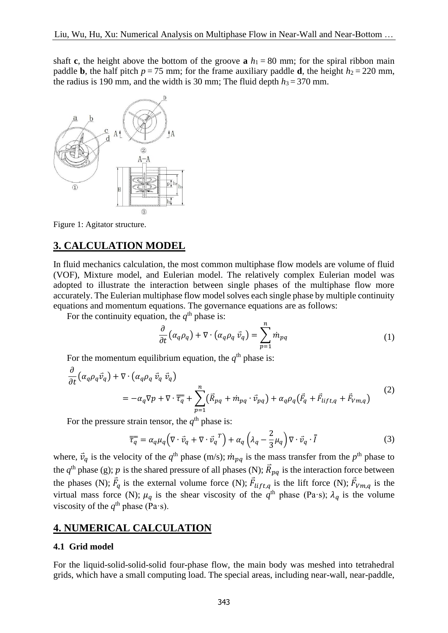shaft **c**, the height above the bottom of the groove **a**  $h_1 = 80$  mm; for the spiral ribbon main paddle **b**, the half pitch  $p = 75$  mm; for the frame auxiliary paddle **d**, the height  $h_2 = 220$  mm, the radius is 190 mm, and the width is 30 mm; The fluid depth  $h_3 = 370$  mm.



Figure 1: Agitator structure.

### **3. CALCULATION MODEL**

In fluid mechanics calculation, the most common multiphase flow models are volume of fluid (VOF), Mixture model, and Eulerian model. The relatively complex Eulerian model was adopted to illustrate the interaction between single phases of the multiphase flow more accurately. The Eulerian multiphase flow model solves each single phase by multiple continuity equations and momentum equations. The governance equations are as follows:

For the continuity equation, the  $q<sup>th</sup>$  phase is:

$$
\frac{\partial}{\partial t} \left( \alpha_q \rho_q \right) + \nabla \cdot \left( \alpha_q \rho_q \ \vec{v}_q \right) = \sum_{p=1}^n m_{pq} \tag{1}
$$

For the momentum equilibrium equation, the  $q<sup>th</sup>$  phase is:

$$
\frac{\partial}{\partial t} \left( \alpha_q \rho_q \vec{v}_q \right) + \nabla \cdot \left( \alpha_q \rho_q \vec{v}_q \vec{v}_q \right)
$$
\n
$$
= -\alpha_q \nabla p + \nabla \cdot \overline{\tau}_q + \sum_{p=1}^n \left( \vec{R}_{pq} + \dot{m}_{pq} \cdot \vec{v}_{pq} \right) + \alpha_q \rho_q \left( \vec{F}_q + \vec{F}_{lift,q} + \vec{F}_{Vm,q} \right)
$$
\n(2)

For the pressure strain tensor, the  $q<sup>th</sup>$  phase is:

$$
\overline{\overline{\tau_q}} = \alpha_q \mu_q \left( \nabla \cdot \vec{v}_q + \nabla \cdot \vec{v}_q^T \right) + \alpha_q \left( \lambda_q - \frac{2}{3} \mu_q \right) \nabla \cdot \vec{v}_q \cdot \overline{I}
$$
(3)

where,  $\vec{v}_q$  is the velocity of the  $q^{\text{th}}$  phase (m/s);  $\dot{m}_{pq}$  is the mass transfer from the  $p^{\text{th}}$  phase to the  $q<sup>th</sup>$  phase (g);  $p$  is the shared pressure of all phases (N);  $\vec{R}_{pq}$  is the interaction force between the phases (N);  $\vec{F}_q$  is the external volume force (N);  $\vec{F}_{lift,q}$  is the lift force (N);  $\vec{F}_{Vm,q}$  is the virtual mass force (N);  $\mu_q$  is the shear viscosity of the  $q^{\text{th}}$  phase (Pa·s);  $\lambda_q$  is the volume viscosity of the  $q^{\text{th}}$  phase (Pa·s).

### **4. NUMERICAL CALCULATION**

#### **4.1 Grid model**

For the liquid-solid-solid-solid four-phase flow, the main body was meshed into tetrahedral grids, which have a small computing load. The special areas, including near-wall, near-paddle,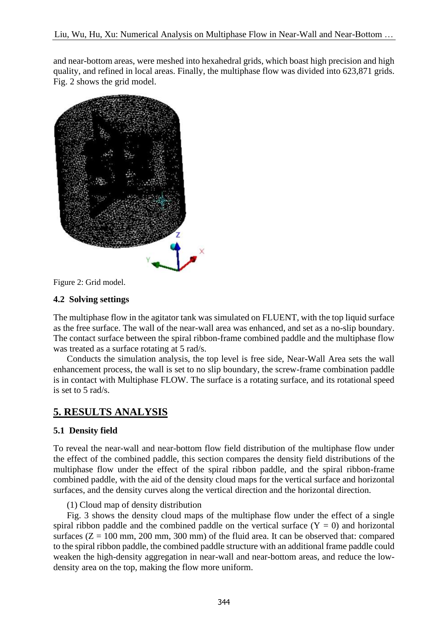and near-bottom areas, were meshed into hexahedral grids, which boast high precision and high quality, and refined in local areas. Finally, the multiphase flow was divided into 623,871 grids. Fig. 2 shows the grid model.



Figure 2: Grid model.

### **4.2 Solving settings**

The multiphase flow in the agitator tank was simulated on FLUENT, with the top liquid surface as the free surface. The wall of the near-wall area was enhanced, and set as a no-slip boundary. The contact surface between the spiral ribbon-frame combined paddle and the multiphase flow was treated as a surface rotating at 5 rad/s.

 Conducts the simulation analysis, the top level is free side, Near-Wall Area sets the wall enhancement process, the wall is set to no slip boundary, the screw-frame combination paddle is in contact with Multiphase FLOW. The surface is a rotating surface, and its rotational speed is set to 5 rad/s.

# **5. RESULTS ANALYSIS**

### **5.1 Density field**

To reveal the near-wall and near-bottom flow field distribution of the multiphase flow under the effect of the combined paddle, this section compares the density field distributions of the multiphase flow under the effect of the spiral ribbon paddle, and the spiral ribbon-frame combined paddle, with the aid of the density cloud maps for the vertical surface and horizontal surfaces, and the density curves along the vertical direction and the horizontal direction.

### (1) Cloud map of density distribution

 Fig. 3 shows the density cloud maps of the multiphase flow under the effect of a single spiral ribbon paddle and the combined paddle on the vertical surface  $(Y = 0)$  and horizontal surfaces  $(Z = 100 \text{ mm}, 200 \text{ mm}, 300 \text{ mm})$  of the fluid area. It can be observed that: compared to the spiral ribbon paddle, the combined paddle structure with an additional frame paddle could weaken the high-density aggregation in near-wall and near-bottom areas, and reduce the lowdensity area on the top, making the flow more uniform.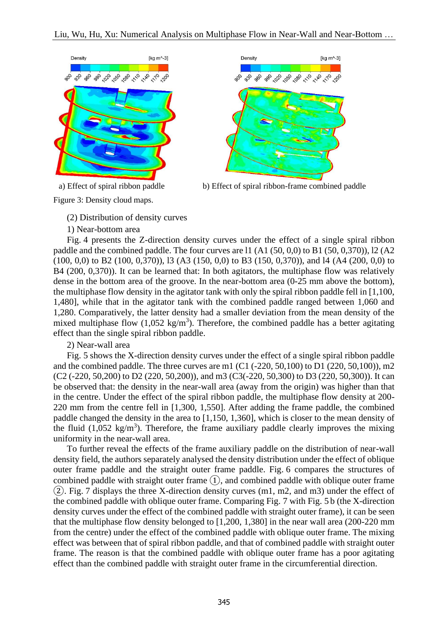



a) Effect of spiral ribbon paddle b) Effect of spiral ribbon-frame combined paddle

Figure 3: Density cloud maps.

(2) Distribution of density curves

1) Near-bottom area

 Fig. 4 presents the Z-direction density curves under the effect of a single spiral ribbon paddle and the combined paddle. The four curves are l1 (A1 (50, 0,0) to B1 (50, 0,370)), l2 (A2 (100, 0,0) to B2 (100, 0,370)), l3 (A3 (150, 0,0) to B3 (150, 0,370)), and l4 (A4 (200, 0,0) to B4 (200, 0,370)). It can be learned that: In both agitators, the multiphase flow was relatively dense in the bottom area of the groove. In the near-bottom area (0-25 mm above the bottom), the multiphase flow density in the agitator tank with only the spiral ribbon paddle fell in [1,100, 1,480], while that in the agitator tank with the combined paddle ranged between 1,060 and 1,280. Comparatively, the latter density had a smaller deviation from the mean density of the mixed multiphase flow  $(1,052 \text{ kg/m}^3)$ . Therefore, the combined paddle has a better agitating effect than the single spiral ribbon paddle.

2) Near-wall area

 Fig. 5 shows the X-direction density curves under the effect of a single spiral ribbon paddle and the combined paddle. The three curves are m1  $(C1 (-220, 50, 100)$  to D1  $(220, 50, 100)$ , m2 (C2 (-220, 50,200) to D2 (220, 50,200)), and m3 (C3(-220, 50,300) to D3 (220, 50,300)). It can be observed that: the density in the near-wall area (away from the origin) was higher than that in the centre. Under the effect of the spiral ribbon paddle, the multiphase flow density at 200- 220 mm from the centre fell in [1,300, 1,550]. After adding the frame paddle, the combined paddle changed the density in the area to [1,150, 1,360], which is closer to the mean density of the fluid  $(1,052 \text{ kg/m}^3)$ . Therefore, the frame auxiliary paddle clearly improves the mixing uniformity in the near-wall area.

 To further reveal the effects of the frame auxiliary paddle on the distribution of near-wall density field, the authors separately analysed the density distribution under the effect of oblique outer frame paddle and the straight outer frame paddle. Fig. 6 compares the structures of combined paddle with straight outer frame ①, and combined paddle with oblique outer frame ②. Fig. 7 displays the three X-direction density curves (m1, m2, and m3) under the effect of the combined paddle with oblique outer frame. Comparing Fig. 7 with Fig. 5 b (the X-direction density curves under the effect of the combined paddle with straight outer frame), it can be seen that the multiphase flow density belonged to [1,200, 1,380] in the near wall area (200-220 mm from the centre) under the effect of the combined paddle with oblique outer frame. The mixing effect was between that of spiral ribbon paddle, and that of combined paddle with straight outer frame. The reason is that the combined paddle with oblique outer frame has a poor agitating effect than the combined paddle with straight outer frame in the circumferential direction.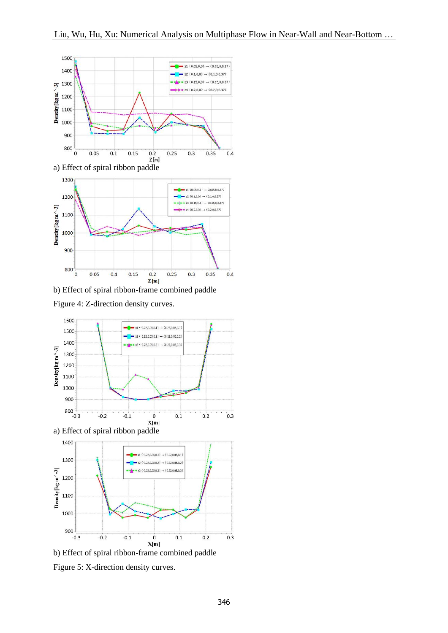

b) Effect of spiral ribbon-frame combined paddle

Figure 4: Z-direction density curves.



b) Effect of spiral ribbon-frame combined paddle

Figure 5: X-direction density curves.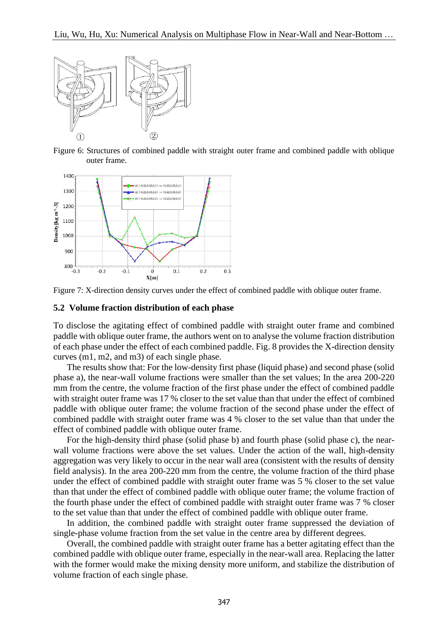

Figure 6: Structures of combined paddle with straight outer frame and combined paddle with oblique outer frame.





#### **5.2 Volume fraction distribution of each phase**

To disclose the agitating effect of combined paddle with straight outer frame and combined paddle with oblique outer frame, the authors went on to analyse the volume fraction distribution of each phase under the effect of each combined paddle. Fig. 8 provides the X-direction density curves (m1, m2, and m3) of each single phase.

 The results show that: For the low-density first phase (liquid phase) and second phase (solid phase a), the near-wall volume fractions were smaller than the set values; In the area 200-220 mm from the centre, the volume fraction of the first phase under the effect of combined paddle with straight outer frame was 17 % closer to the set value than that under the effect of combined paddle with oblique outer frame; the volume fraction of the second phase under the effect of combined paddle with straight outer frame was 4 % closer to the set value than that under the effect of combined paddle with oblique outer frame.

For the high-density third phase (solid phase b) and fourth phase (solid phase c), the nearwall volume fractions were above the set values. Under the action of the wall, high-density aggregation was very likely to occur in the near wall area (consistent with the results of density field analysis). In the area 200-220 mm from the centre, the volume fraction of the third phase under the effect of combined paddle with straight outer frame was 5 % closer to the set value than that under the effect of combined paddle with oblique outer frame; the volume fraction of the fourth phase under the effect of combined paddle with straight outer frame was 7 % closer to the set value than that under the effect of combined paddle with oblique outer frame.

 In addition, the combined paddle with straight outer frame suppressed the deviation of single-phase volume fraction from the set value in the centre area by different degrees.

 Overall, the combined paddle with straight outer frame has a better agitating effect than the combined paddle with oblique outer frame, especially in the near-wall area. Replacing the latter with the former would make the mixing density more uniform, and stabilize the distribution of volume fraction of each single phase.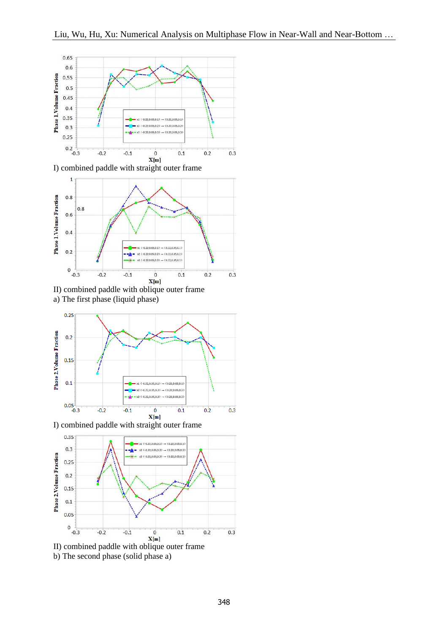



II) combined paddle with oblique outer frame a) The first phase (liquid phase)



I) combined paddle with straight outer frame



b) The second phase (solid phase a)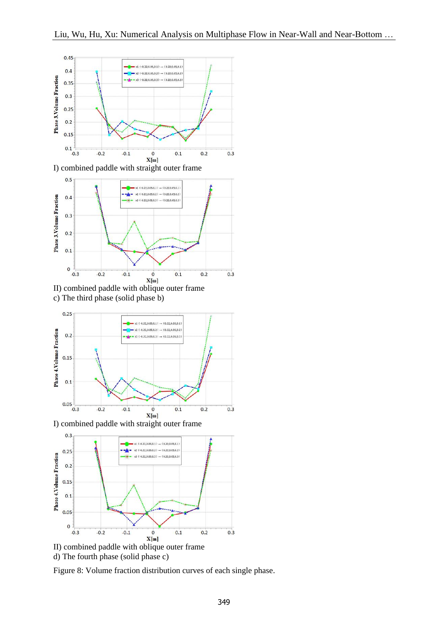



II) combined paddle with oblique outer frame c) The third phase (solid phase b)



I) combined paddle with straight outer frame



d) The fourth phase (solid phase c)

Figure 8: Volume fraction distribution curves of each single phase.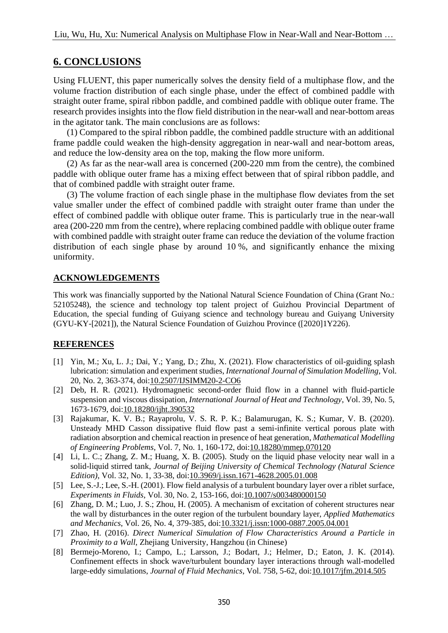## **6. CONCLUSIONS**

Using FLUENT, this paper numerically solves the density field of a multiphase flow, and the volume fraction distribution of each single phase, under the effect of combined paddle with straight outer frame, spiral ribbon paddle, and combined paddle with oblique outer frame. The research provides insights into the flow field distribution in the near-wall and near-bottom areas in the agitator tank. The main conclusions are as follows:

 (1) Compared to the spiral ribbon paddle, the combined paddle structure with an additional frame paddle could weaken the high-density aggregation in near-wall and near-bottom areas, and reduce the low-density area on the top, making the flow more uniform.

 (2) As far as the near-wall area is concerned (200-220 mm from the centre), the combined paddle with oblique outer frame has a mixing effect between that of spiral ribbon paddle, and that of combined paddle with straight outer frame.

 (3) The volume fraction of each single phase in the multiphase flow deviates from the set value smaller under the effect of combined paddle with straight outer frame than under the effect of combined paddle with oblique outer frame. This is particularly true in the near-wall area (200-220 mm from the centre), where replacing combined paddle with oblique outer frame with combined paddle with straight outer frame can reduce the deviation of the volume fraction distribution of each single phase by around 10 %, and significantly enhance the mixing uniformity.

### **ACKNOWLEDGEMENTS**

This work was financially supported by the National Natural Science Foundation of China (Grant No.: 52105248), the science and technology top talent project of Guizhou Provincial Department of Education, the special funding of Guiyang science and technology bureau and Guiyang University (GYU-KY-[2021]), the Natural Science Foundation of Guizhou Province ([2020]1Y226).

### **REFERENCES**

- [1] Yin, M.; Xu, L. J.; Dai, Y.; Yang, D.; Zhu, X. (2021). Flow characteristics of oil-guiding splash lubrication: simulation and experiment studies, *International Journal of Simulation Modelling*, Vol. 20, No. 2, 363-374, doi[:10.2507/IJSIMM20-2-CO6](https://doi.org/10.2507/IJSIMM20-2-CO6)
- [2] Deb, H. R. (2021). Hydromagnetic second-order fluid flow in a channel with fluid-particle suspension and viscous dissipation, *International Journal of Heat and Technology*, Vol. 39, No. 5, 1673-1679, doi[:10.18280/ijht.390532](https://doi.org/10.18280/ijht.390532)
- [3] Rajakumar, K. V. B.; Rayaprolu, V. S. R. P. K.; Balamurugan, K. S.; Kumar, V. B. (2020). Unsteady MHD Casson dissipative fluid flow past a semi-infinite vertical porous plate with radiation absorption and chemical reaction in presence of heat generation, *Mathematical Modelling of Engineering Problems*, Vol. 7, No. 1, 160-172, doi[:10.18280/mmep.070120](https://doi.org/10.18280/mmep.070120)
- [4] Li, L. C.; Zhang, Z. M.; Huang, X. B. (2005). Study on the liquid phase velocity near wall in a solid-liquid stirred tank, *Journal of Beijing University of Chemical Technology (Natural Science Edition)*, Vol. 32, No. 1, 33-38, doi[:10.3969/j.issn.1671-4628.2005.01.008](https://doi.org/10.3969/j.issn.1671-4628.2005.01.008)
- [5] Lee, S.-J.; Lee, S.-H. (2001). Flow field analysis of a turbulent boundary layer over a riblet surface, *Experiments in Fluids*, Vol. 30, No. 2, 153-166, doi[:10.1007/s003480000150](https://doi.org/10.1007/s003480000150)
- [6] Zhang, D. M.; Luo, J. S.; Zhou, H. (2005). A mechanism of excitation of coherent structures near the wall by disturbances in the outer region of the turbulent boundary layer, *Applied Mathematics and Mechanics*, Vol. 26, No. 4, 379-385, doi[:10.3321/j.issn:1000-0887.2005.04.001](https://doi.org/10.3321/j.issn:1000-0887.2005.04.001)
- [7] Zhao, H. (2016). *Direct Numerical Simulation of Flow Characteristics Around a Particle in Proximity to a Wall*, Zhejiang University, Hangzhou (in Chinese)
- [8] Bermejo-Moreno, I.; Campo, L.; Larsson, J.; Bodart, J.; Helmer, D.; Eaton, J. K. (2014). Confinement effects in shock wave/turbulent boundary layer interactions through wall-modelled large-eddy simulations, *Journal of Fluid Mechanics*, Vol. 758, 5-62, doi[:10.1017/jfm.2014.505](https://doi.org/10.1017/jfm.2014.505)